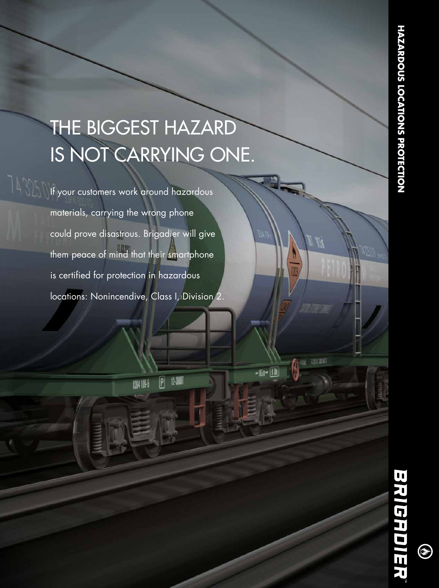# THE BIGGEST HAZARD IS NOT CARRYING ONE.

If your customers work around hazardous materials, carrying the wrong phone could prove disastrous. Brigadier will give them peace of mind that their smartphone is certified for protection in hazardous locations: Nonincendive, Class I, Division 2.

 $\boxed{P}$ 

化测

硼崎

 $\circledast$ 

01 100 000

-113-11